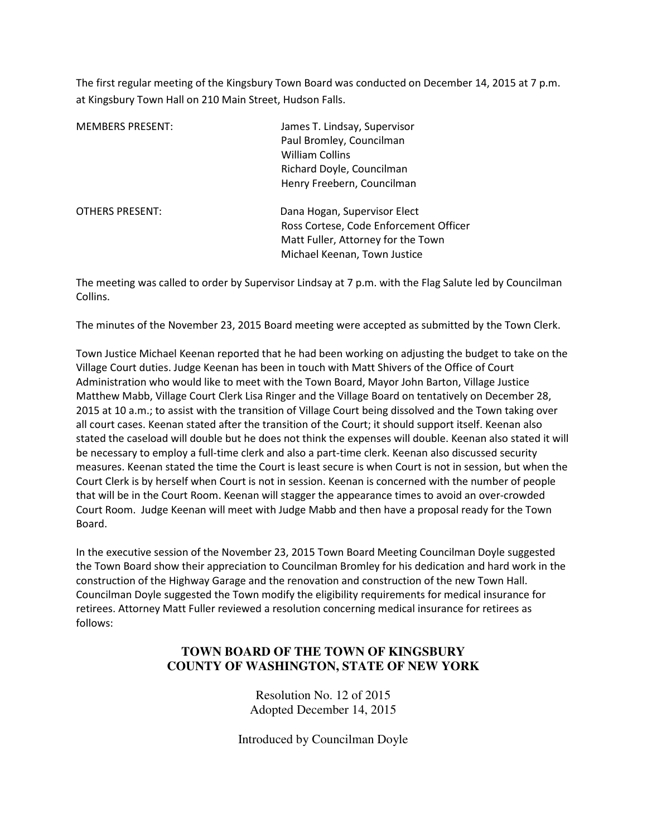The first regular meeting of the Kingsbury Town Board was conducted on December 14, 2015 at 7 p.m. at Kingsbury Town Hall on 210 Main Street, Hudson Falls.

| <b>MEMBERS PRESENT:</b> | James T. Lindsay, Supervisor<br>Paul Bromley, Councilman<br><b>William Collins</b><br>Richard Doyle, Councilman<br>Henry Freebern, Councilman |
|-------------------------|-----------------------------------------------------------------------------------------------------------------------------------------------|
| <b>OTHERS PRESENT:</b>  | Dana Hogan, Supervisor Elect<br>Ross Cortese, Code Enforcement Officer<br>Matt Fuller, Attorney for the Town<br>Michael Keenan, Town Justice  |

The meeting was called to order by Supervisor Lindsay at 7 p.m. with the Flag Salute led by Councilman Collins.

The minutes of the November 23, 2015 Board meeting were accepted as submitted by the Town Clerk.

Town Justice Michael Keenan reported that he had been working on adjusting the budget to take on the Village Court duties. Judge Keenan has been in touch with Matt Shivers of the Office of Court Administration who would like to meet with the Town Board, Mayor John Barton, Village Justice Matthew Mabb, Village Court Clerk Lisa Ringer and the Village Board on tentatively on December 28, 2015 at 10 a.m.; to assist with the transition of Village Court being dissolved and the Town taking over all court cases. Keenan stated after the transition of the Court; it should support itself. Keenan also stated the caseload will double but he does not think the expenses will double. Keenan also stated it will be necessary to employ a full-time clerk and also a part-time clerk. Keenan also discussed security measures. Keenan stated the time the Court is least secure is when Court is not in session, but when the Court Clerk is by herself when Court is not in session. Keenan is concerned with the number of people that will be in the Court Room. Keenan will stagger the appearance times to avoid an over-crowded Court Room. Judge Keenan will meet with Judge Mabb and then have a proposal ready for the Town Board.

In the executive session of the November 23, 2015 Town Board Meeting Councilman Doyle suggested the Town Board show their appreciation to Councilman Bromley for his dedication and hard work in the construction of the Highway Garage and the renovation and construction of the new Town Hall. Councilman Doyle suggested the Town modify the eligibility requirements for medical insurance for retirees. Attorney Matt Fuller reviewed a resolution concerning medical insurance for retirees as follows:

## **TOWN BOARD OF THE TOWN OF KINGSBURY COUNTY OF WASHINGTON, STATE OF NEW YORK**

Resolution No. 12 of 2015 Adopted December 14, 2015

Introduced by Councilman Doyle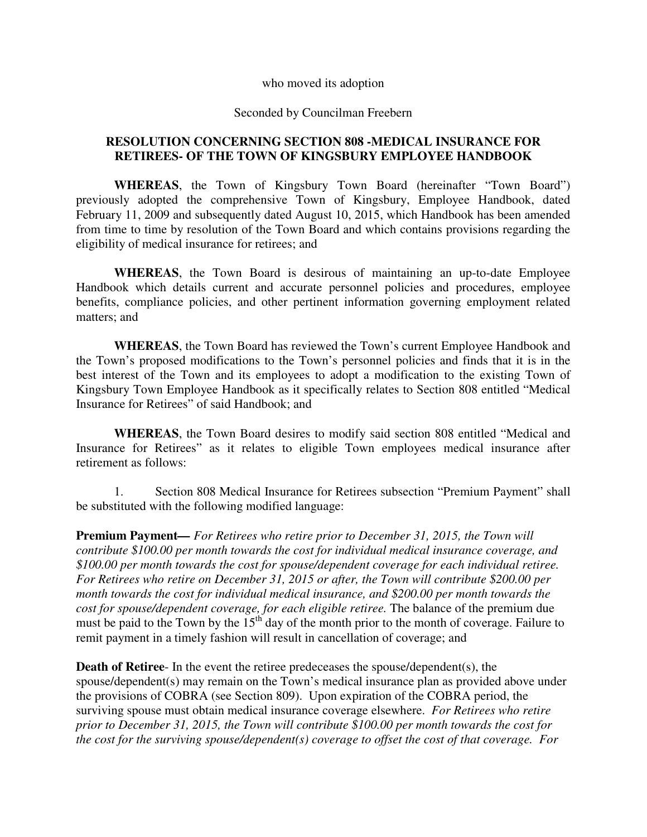who moved its adoption

Seconded by Councilman Freebern

## **RESOLUTION CONCERNING SECTION 808 -MEDICAL INSURANCE FOR RETIREES- OF THE TOWN OF KINGSBURY EMPLOYEE HANDBOOK**

**WHEREAS**, the Town of Kingsbury Town Board (hereinafter "Town Board") previously adopted the comprehensive Town of Kingsbury, Employee Handbook, dated February 11, 2009 and subsequently dated August 10, 2015, which Handbook has been amended from time to time by resolution of the Town Board and which contains provisions regarding the eligibility of medical insurance for retirees; and

**WHEREAS**, the Town Board is desirous of maintaining an up-to-date Employee Handbook which details current and accurate personnel policies and procedures, employee benefits, compliance policies, and other pertinent information governing employment related matters; and

**WHEREAS**, the Town Board has reviewed the Town's current Employee Handbook and the Town's proposed modifications to the Town's personnel policies and finds that it is in the best interest of the Town and its employees to adopt a modification to the existing Town of Kingsbury Town Employee Handbook as it specifically relates to Section 808 entitled "Medical Insurance for Retirees" of said Handbook; and

**WHEREAS**, the Town Board desires to modify said section 808 entitled "Medical and Insurance for Retirees" as it relates to eligible Town employees medical insurance after retirement as follows:

1. Section 808 Medical Insurance for Retirees subsection "Premium Payment" shall be substituted with the following modified language:

**Premium Payment***— For Retirees who retire prior to December 31, 2015, the Town will contribute \$100.00 per month towards the cost for individual medical insurance coverage, and \$100.00 per month towards the cost for spouse/dependent coverage for each individual retiree. For Retirees who retire on December 31, 2015 or after, the Town will contribute \$200.00 per month towards the cost for individual medical insurance, and \$200.00 per month towards the cost for spouse/dependent coverage, for each eligible retiree.* The balance of the premium due must be paid to the Town by the  $15<sup>th</sup>$  day of the month prior to the month of coverage. Failure to remit payment in a timely fashion will result in cancellation of coverage; and

**Death of Retiree**- In the event the retiree predeceases the spouse/dependent(s), the spouse/dependent(s) may remain on the Town's medical insurance plan as provided above under the provisions of COBRA (see Section 809). Upon expiration of the COBRA period, the surviving spouse must obtain medical insurance coverage elsewhere. *For Retirees who retire prior to December 31, 2015, the Town will contribute \$100.00 per month towards the cost for the cost for the surviving spouse/dependent(s) coverage to offset the cost of that coverage. For*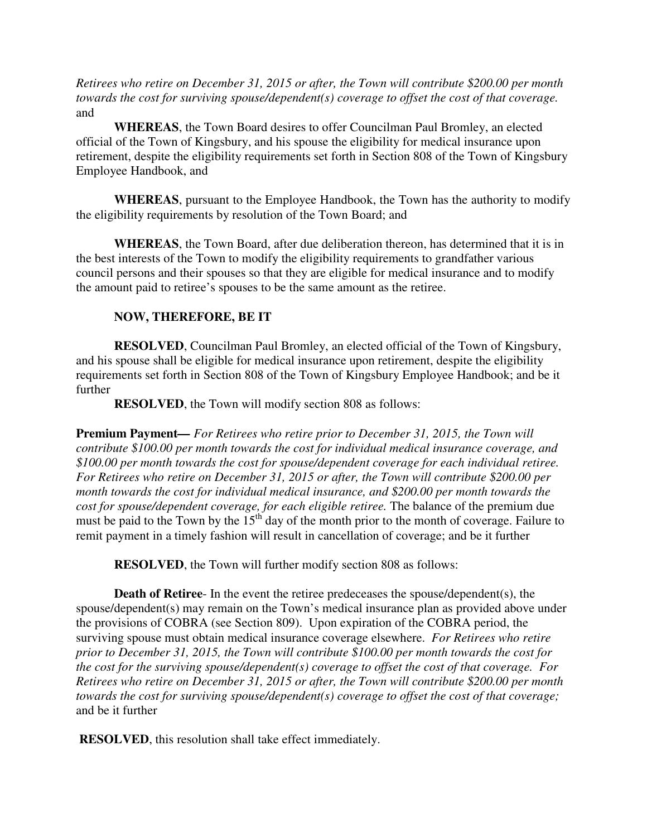*Retirees who retire on December 31, 2015 or after, the Town will contribute \$200.00 per month towards the cost for surviving spouse/dependent(s) coverage to offset the cost of that coverage.* and

**WHEREAS**, the Town Board desires to offer Councilman Paul Bromley, an elected official of the Town of Kingsbury, and his spouse the eligibility for medical insurance upon retirement, despite the eligibility requirements set forth in Section 808 of the Town of Kingsbury Employee Handbook, and

**WHEREAS**, pursuant to the Employee Handbook, the Town has the authority to modify the eligibility requirements by resolution of the Town Board; and

**WHEREAS**, the Town Board, after due deliberation thereon, has determined that it is in the best interests of the Town to modify the eligibility requirements to grandfather various council persons and their spouses so that they are eligible for medical insurance and to modify the amount paid to retiree's spouses to be the same amount as the retiree.

## **NOW, THEREFORE, BE IT**

**RESOLVED**, Councilman Paul Bromley, an elected official of the Town of Kingsbury, and his spouse shall be eligible for medical insurance upon retirement, despite the eligibility requirements set forth in Section 808 of the Town of Kingsbury Employee Handbook; and be it further

**RESOLVED**, the Town will modify section 808 as follows:

**Premium Payment***— For Retirees who retire prior to December 31, 2015, the Town will contribute \$100.00 per month towards the cost for individual medical insurance coverage, and \$100.00 per month towards the cost for spouse/dependent coverage for each individual retiree. For Retirees who retire on December 31, 2015 or after, the Town will contribute \$200.00 per month towards the cost for individual medical insurance, and \$200.00 per month towards the cost for spouse/dependent coverage, for each eligible retiree.* The balance of the premium due must be paid to the Town by the  $15<sup>th</sup>$  day of the month prior to the month of coverage. Failure to remit payment in a timely fashion will result in cancellation of coverage; and be it further

**RESOLVED**, the Town will further modify section 808 as follows:

**Death of Retiree**- In the event the retiree predeceases the spouse/dependent(s), the spouse/dependent(s) may remain on the Town's medical insurance plan as provided above under the provisions of COBRA (see Section 809). Upon expiration of the COBRA period, the surviving spouse must obtain medical insurance coverage elsewhere. *For Retirees who retire prior to December 31, 2015, the Town will contribute \$100.00 per month towards the cost for the cost for the surviving spouse/dependent(s) coverage to offset the cost of that coverage. For Retirees who retire on December 31, 2015 or after, the Town will contribute \$200.00 per month towards the cost for surviving spouse/dependent(s) coverage to offset the cost of that coverage;* and be it further

**RESOLVED**, this resolution shall take effect immediately.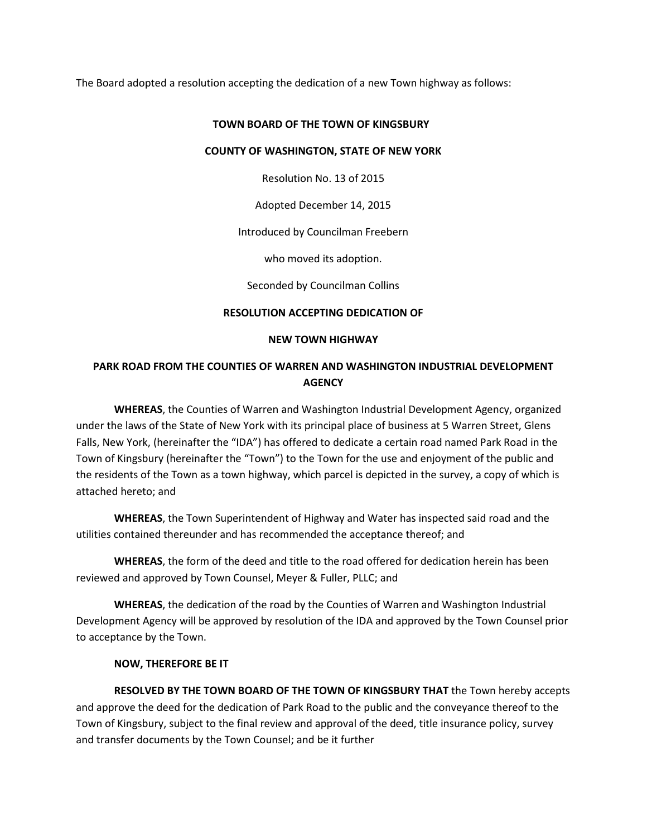The Board adopted a resolution accepting the dedication of a new Town highway as follows:

#### **TOWN BOARD OF THE TOWN OF KINGSBURY**

#### **COUNTY OF WASHINGTON, STATE OF NEW YORK**

Resolution No. 13 of 2015

Adopted December 14, 2015

Introduced by Councilman Freebern

who moved its adoption.

Seconded by Councilman Collins

### **RESOLUTION ACCEPTING DEDICATION OF**

#### **NEW TOWN HIGHWAY**

## **PARK ROAD FROM THE COUNTIES OF WARREN AND WASHINGTON INDUSTRIAL DEVELOPMENT AGENCY**

**WHEREAS**, the Counties of Warren and Washington Industrial Development Agency, organized under the laws of the State of New York with its principal place of business at 5 Warren Street, Glens Falls, New York, (hereinafter the "IDA") has offered to dedicate a certain road named Park Road in the Town of Kingsbury (hereinafter the "Town") to the Town for the use and enjoyment of the public and the residents of the Town as a town highway, which parcel is depicted in the survey, a copy of which is attached hereto; and

**WHEREAS**, the Town Superintendent of Highway and Water has inspected said road and the utilities contained thereunder and has recommended the acceptance thereof; and

**WHEREAS**, the form of the deed and title to the road offered for dedication herein has been reviewed and approved by Town Counsel, Meyer & Fuller, PLLC; and

**WHEREAS**, the dedication of the road by the Counties of Warren and Washington Industrial Development Agency will be approved by resolution of the IDA and approved by the Town Counsel prior to acceptance by the Town.

### **NOW, THEREFORE BE IT**

**RESOLVED BY THE TOWN BOARD OF THE TOWN OF KINGSBURY THAT** the Town hereby accepts and approve the deed for the dedication of Park Road to the public and the conveyance thereof to the Town of Kingsbury, subject to the final review and approval of the deed, title insurance policy, survey and transfer documents by the Town Counsel; and be it further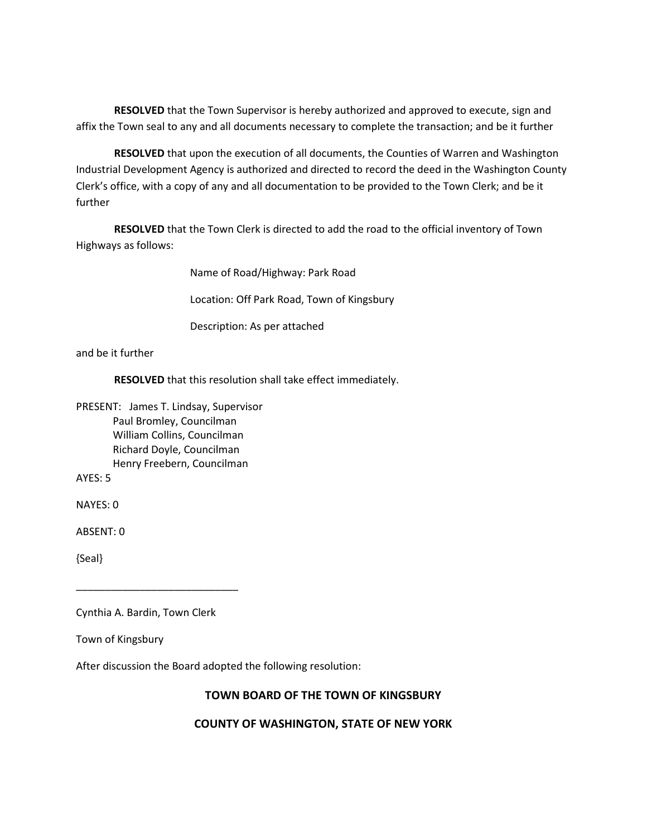**RESOLVED** that the Town Supervisor is hereby authorized and approved to execute, sign and affix the Town seal to any and all documents necessary to complete the transaction; and be it further

**RESOLVED** that upon the execution of all documents, the Counties of Warren and Washington Industrial Development Agency is authorized and directed to record the deed in the Washington County Clerk's office, with a copy of any and all documentation to be provided to the Town Clerk; and be it further

**RESOLVED** that the Town Clerk is directed to add the road to the official inventory of Town Highways as follows:

Name of Road/Highway: Park Road

Location: Off Park Road, Town of Kingsbury

Description: As per attached

and be it further

**RESOLVED** that this resolution shall take effect immediately.

PRESENT: James T. Lindsay, Supervisor Paul Bromley, Councilman William Collins, Councilman Richard Doyle, Councilman Henry Freebern, Councilman

AYES: 5

NAYES: 0

ABSENT: 0

{Seal}

Cynthia A. Bardin, Town Clerk

\_\_\_\_\_\_\_\_\_\_\_\_\_\_\_\_\_\_\_\_\_\_\_\_\_\_\_\_

Town of Kingsbury

After discussion the Board adopted the following resolution:

### **TOWN BOARD OF THE TOWN OF KINGSBURY**

### **COUNTY OF WASHINGTON, STATE OF NEW YORK**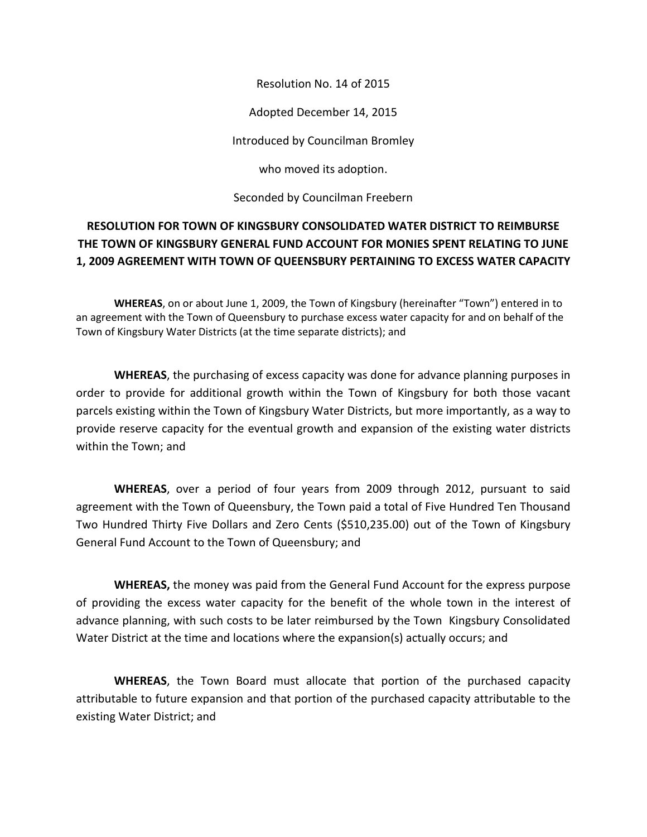Resolution No. 14 of 2015

Adopted December 14, 2015

Introduced by Councilman Bromley

who moved its adoption.

Seconded by Councilman Freebern

# **RESOLUTION FOR TOWN OF KINGSBURY CONSOLIDATED WATER DISTRICT TO REIMBURSE THE TOWN OF KINGSBURY GENERAL FUND ACCOUNT FOR MONIES SPENT RELATING TO JUNE 1, 2009 AGREEMENT WITH TOWN OF QUEENSBURY PERTAINING TO EXCESS WATER CAPACITY**

 **WHEREAS**, on or about June 1, 2009, the Town of Kingsbury (hereinafter "Town") entered in to an agreement with the Town of Queensbury to purchase excess water capacity for and on behalf of the Town of Kingsbury Water Districts (at the time separate districts); and

**WHEREAS**, the purchasing of excess capacity was done for advance planning purposes in order to provide for additional growth within the Town of Kingsbury for both those vacant parcels existing within the Town of Kingsbury Water Districts, but more importantly, as a way to provide reserve capacity for the eventual growth and expansion of the existing water districts within the Town; and

**WHEREAS**, over a period of four years from 2009 through 2012, pursuant to said agreement with the Town of Queensbury, the Town paid a total of Five Hundred Ten Thousand Two Hundred Thirty Five Dollars and Zero Cents (\$510,235.00) out of the Town of Kingsbury General Fund Account to the Town of Queensbury; and

**WHEREAS,** the money was paid from the General Fund Account for the express purpose of providing the excess water capacity for the benefit of the whole town in the interest of advance planning, with such costs to be later reimbursed by the Town Kingsbury Consolidated Water District at the time and locations where the expansion(s) actually occurs; and

**WHEREAS**, the Town Board must allocate that portion of the purchased capacity attributable to future expansion and that portion of the purchased capacity attributable to the existing Water District; and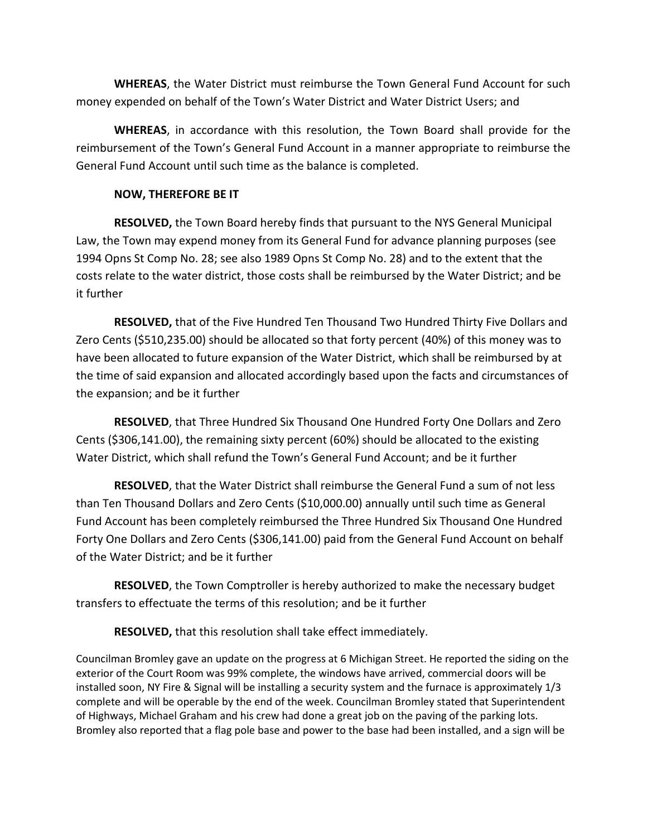**WHEREAS**, the Water District must reimburse the Town General Fund Account for such money expended on behalf of the Town's Water District and Water District Users; and

**WHEREAS**, in accordance with this resolution, the Town Board shall provide for the reimbursement of the Town's General Fund Account in a manner appropriate to reimburse the General Fund Account until such time as the balance is completed.

### **NOW, THEREFORE BE IT**

**RESOLVED,** the Town Board hereby finds that pursuant to the NYS General Municipal Law, the Town may expend money from its General Fund for advance planning purposes (see 1994 Opns St Comp No. 28; see also 1989 Opns St Comp No. 28) and to the extent that the costs relate to the water district, those costs shall be reimbursed by the Water District; and be it further

**RESOLVED,** that of the Five Hundred Ten Thousand Two Hundred Thirty Five Dollars and Zero Cents (\$510,235.00) should be allocated so that forty percent (40%) of this money was to have been allocated to future expansion of the Water District, which shall be reimbursed by at the time of said expansion and allocated accordingly based upon the facts and circumstances of the expansion; and be it further

**RESOLVED**, that Three Hundred Six Thousand One Hundred Forty One Dollars and Zero Cents (\$306,141.00), the remaining sixty percent (60%) should be allocated to the existing Water District, which shall refund the Town's General Fund Account; and be it further

**RESOLVED**, that the Water District shall reimburse the General Fund a sum of not less than Ten Thousand Dollars and Zero Cents (\$10,000.00) annually until such time as General Fund Account has been completely reimbursed the Three Hundred Six Thousand One Hundred Forty One Dollars and Zero Cents (\$306,141.00) paid from the General Fund Account on behalf of the Water District; and be it further

**RESOLVED**, the Town Comptroller is hereby authorized to make the necessary budget transfers to effectuate the terms of this resolution; and be it further

**RESOLVED,** that this resolution shall take effect immediately.

Councilman Bromley gave an update on the progress at 6 Michigan Street. He reported the siding on the exterior of the Court Room was 99% complete, the windows have arrived, commercial doors will be installed soon, NY Fire & Signal will be installing a security system and the furnace is approximately 1/3 complete and will be operable by the end of the week. Councilman Bromley stated that Superintendent of Highways, Michael Graham and his crew had done a great job on the paving of the parking lots. Bromley also reported that a flag pole base and power to the base had been installed, and a sign will be